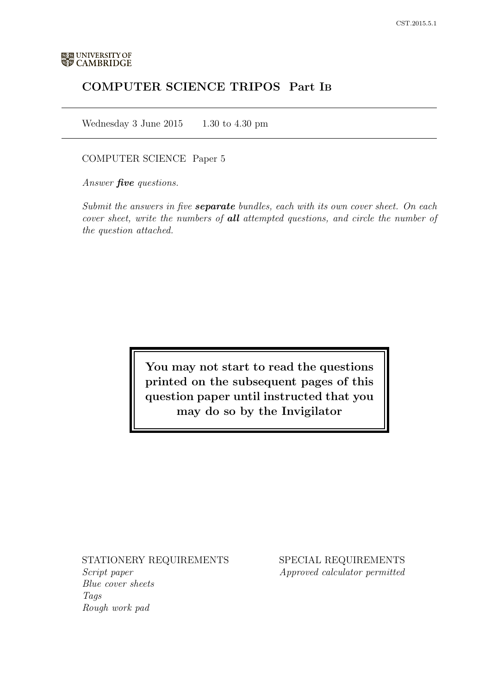# COMPUTER SCIENCE TRIPOS Part IB

Wednesday 3 June 2015  $1.30$  to 4.30 pm

## COMPUTER SCIENCE Paper 5

Answer **five** questions.

Submit the answers in five **separate** bundles, each with its own cover sheet. On each cover sheet, write the numbers of **all** attempted questions, and circle the number of the question attached.

> You may not start to read the questions printed on the subsequent pages of this question paper until instructed that you may do so by the Invigilator

## STATIONERY REQUIREMENTS

Script paper Blue cover sheets Tags Rough work pad

SPECIAL REQUIREMENTS Approved calculator permitted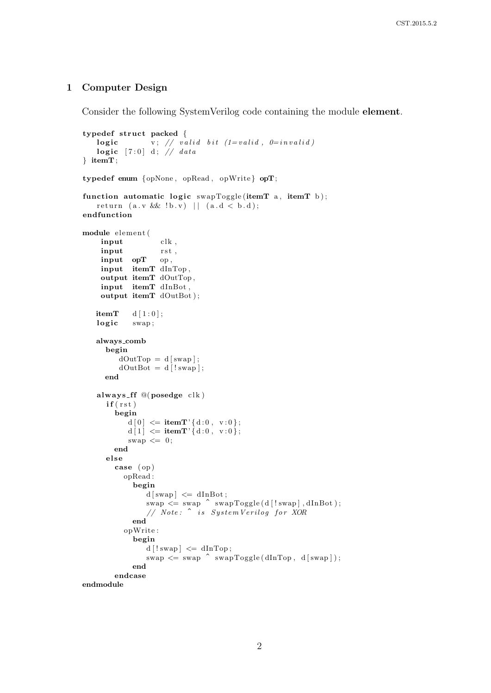#### 1 Computer Design

Consider the following SystemVerilog code containing the module element.

```
typedef struct packed {
     \textbf{logic} \hspace{2em} \text{v} \text{;} \hspace{2em} // \hspace{2em} valid \hspace{2em} bit \hspace{2em} (1=valid \text{,} \hspace{2em} \hspace{2em} 0=invality)\textbf{logic} \quad [7:0] \;\; \mathrm{d} \, ; \;\; \textcolor{blue}{\textbf{\textit{/}}\textbf{\textit{/}} \textbf{\textit{data}}}} itemT ;
typedef enum {opNone , opRead , opWrite } opT;
function automatic logic swapToggle (itemT a, itemT b);
    r e t urn (a \, . \, v \, \&\& \, ! \, b \, . \, v) || (a \, . \, d \, < \, b \, . \, d);endfunction
module elemen t (
     input clk,
     input rst,
     input opT op ,
     input itemT dInTop ,
     output itemT dOutTop ,
     input itemT dInBot ,
     output itemT dOutBot);
    itemT d [1:0];logic swap;
    always comb
       begin
           dOutTop = d[swap];dOutBot = d | ! swap | ;
       end
    always ff @( posedge clk)
       if (rst)begin
              d[0] \leq itemT'{d:0, v:0};
              d[1] \leq itemT'{d:0, v:0};
              swap \leq 0;
          end
       e l s e
          case ( op )
             opRead :
                begin
                    d[swap] \leq dInBot;\mathrm{swap} \leqslant \mathrm{swap} \ \hat{\ } \ \mathrm{swapToggle(d\, [! \,swap] \,, dInBot \, )};// Note: ^ is SystemVerilog for XOR
                end
             opWrite :
                begin
                    d [!swap] \leq dInTop;
                    swap \leq swap \text{``swap''} swapToggle(dInTop, d[swap]);end
          endcase
endmodule
```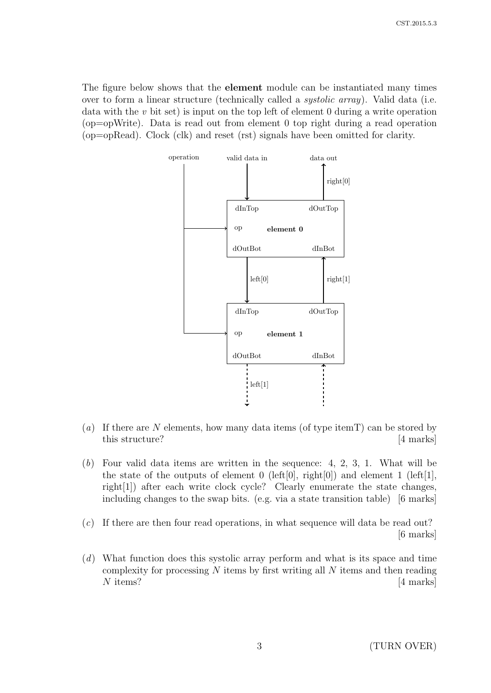The figure below shows that the element module can be instantiated many times over to form a linear structure (technically called a systolic array). Valid data (i.e. data with the v bit set) is input on the top left of element 0 during a write operation (op=opWrite). Data is read out from element 0 top right during a read operation (op=opRead). Clock (clk) and reset (rst) signals have been omitted for clarity.



- (a) If there are N elements, how many data items (of type item  $T$ ) can be stored by this structure? [4 marks]
- (b) Four valid data items are written in the sequence: 4, 2, 3, 1. What will be the state of the outputs of element 0 (left[0], right[0]) and element 1 (left[1], right[1]) after each write clock cycle? Clearly enumerate the state changes, including changes to the swap bits. (e.g. via a state transition table) [6 marks]
- (c) If there are then four read operations, in what sequence will data be read out? [6 marks]
- (d) What function does this systolic array perform and what is its space and time complexity for processing  $N$  items by first writing all  $N$  items and then reading  $N$  items?  $[4 \text{ marks}]$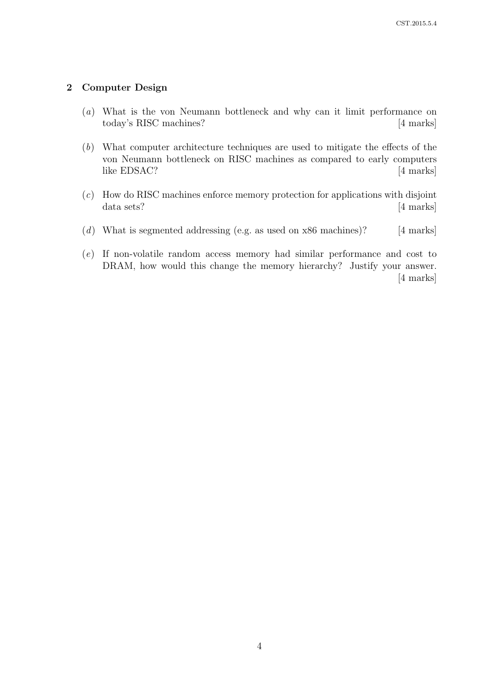# 2 Computer Design

- (a) What is the von Neumann bottleneck and why can it limit performance on today's RISC machines? [4 marks]
- (b) What computer architecture techniques are used to mitigate the effects of the von Neumann bottleneck on RISC machines as compared to early computers like EDSAC? [4 marks]
- (c) How do RISC machines enforce memory protection for applications with disjoint data sets? [4 marks]
- (d) What is segmented addressing (e.g. as used on  $x86$  machines)? [4 marks]
- (e) If non-volatile random access memory had similar performance and cost to DRAM, how would this change the memory hierarchy? Justify your answer. [4 marks]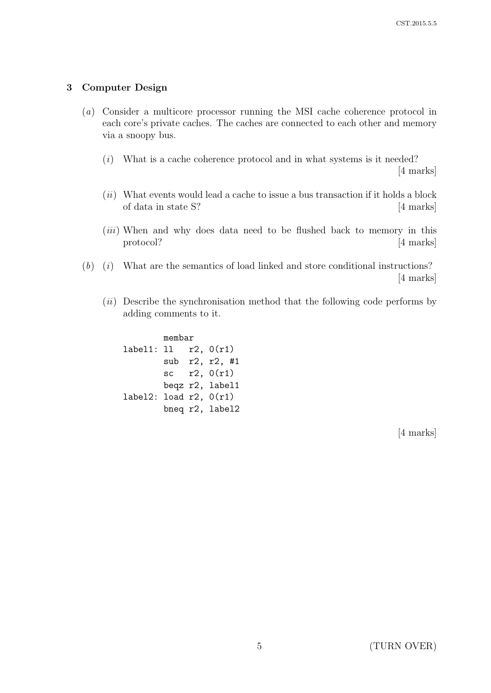#### 3 Computer Design

- (a) Consider a multicore processor running the MSI cache coherence protocol in each core's private caches. The caches are connected to each other and memory via a snoopy bus.
	- $(i)$  What is a cache coherence protocol and in what systems is it needed? [4 marks]
	- $(ii)$  What events would lead a cache to issue a bus transaction if it holds a block of data in state S? [4 marks]
	- $(iii)$  When and why does data need to be flushed back to memory in this protocol? [4 marks]
- $(b)$  (i) What are the semantics of load linked and store conditional instructions? [4 marks]
	- $(ii)$  Describe the synchronisation method that the following code performs by adding comments to it.

| membar                      |  |  |                 |
|-----------------------------|--|--|-----------------|
|                             |  |  |                 |
|                             |  |  | sub r2, r2, #1  |
|                             |  |  | sc $r2, 0(r1)$  |
|                             |  |  | beqz r2, label1 |
| label2: load $r2$ , $0(r1)$ |  |  |                 |
|                             |  |  | bneq r2, label2 |

[4 marks]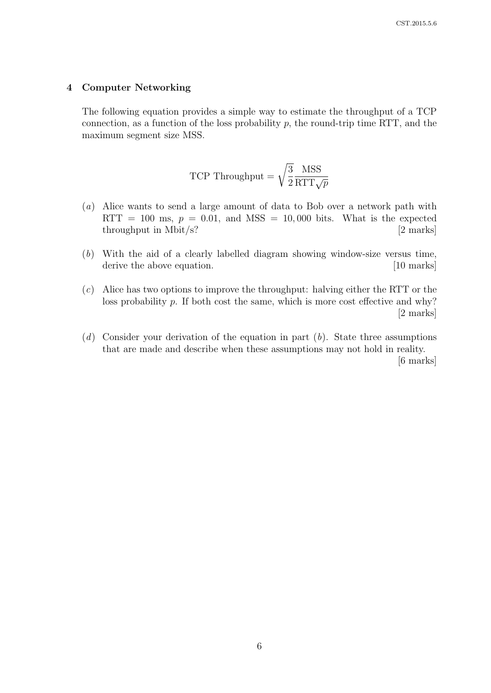#### 4 Computer Networking

The following equation provides a simple way to estimate the throughput of a TCP connection, as a function of the loss probability  $p$ , the round-trip time RTT, and the maximum segment size MSS.

TCP Throughput = 
$$
\sqrt{\frac{3}{2}} \frac{\text{MSS}}{\text{RTT}\sqrt{p}}
$$

- (a) Alice wants to send a large amount of data to Bob over a network path with RTT = 100 ms,  $p = 0.01$ , and MSS = 10,000 bits. What is the expected  $throughput in Mbit/s?$  [2 marks]
- (b) With the aid of a clearly labelled diagram showing window-size versus time, derive the above equation. [10 marks]
- (c) Alice has two options to improve the throughput: halving either the RTT or the loss probability p. If both cost the same, which is more cost effective and why? [2 marks]
- $(d)$  Consider your derivation of the equation in part  $(b)$ . State three assumptions that are made and describe when these assumptions may not hold in reality. [6 marks]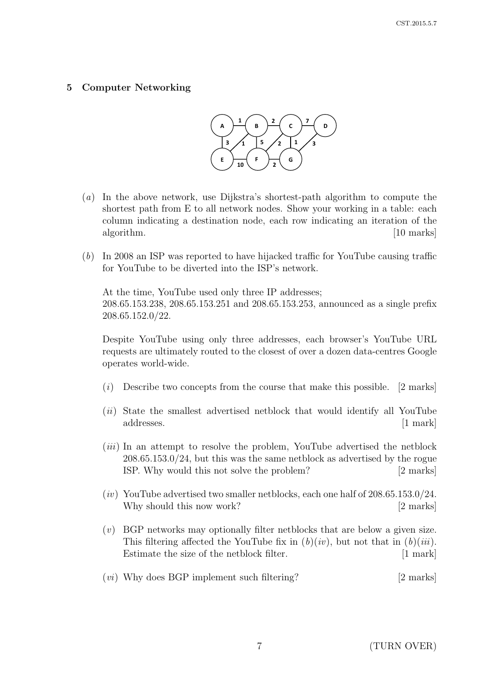## 5 Computer Networking



- (a) In the above network, use Dijkstra's shortest-path algorithm to compute the shortest path from E to all network nodes. Show your working in a table: each column indicating a destination node, each row indicating an iteration of the algorithm. [10 marks]
- (b) In 2008 an ISP was reported to have hijacked traffic for YouTube causing traffic for YouTube to be diverted into the ISP's network.

At the time, YouTube used only three IP addresses; 208.65.153.238, 208.65.153.251 and 208.65.153.253, announced as a single prefix 208.65.152.0/22.

Despite YouTube using only three addresses, each browser's YouTube URL requests are ultimately routed to the closest of over a dozen data-centres Google operates world-wide.

- $(i)$  Describe two concepts from the course that make this possible. [2 marks]
- (ii) State the smallest advertised netblock that would identify all YouTube addresses. [1 mark]
- $(iii)$  In an attempt to resolve the problem, YouTube advertised the netblock 208.65.153.0/24, but this was the same netblock as advertised by the rogue ISP. Why would this not solve the problem? [2 marks]
- $(iv)$  YouTube advertised two smaller netblocks, each one half of  $208.65.153.0/24$ . Why should this now work? [2 marks]
- (v) BGP networks may optionally filter netblocks that are below a given size. This filtering affected the YouTube fix in  $(b)(iv)$ , but not that in  $(b)(iii)$ . Estimate the size of the netblock filter. [1 mark]
- (*vi*) Why does BGP implement such filtering? [2 marks]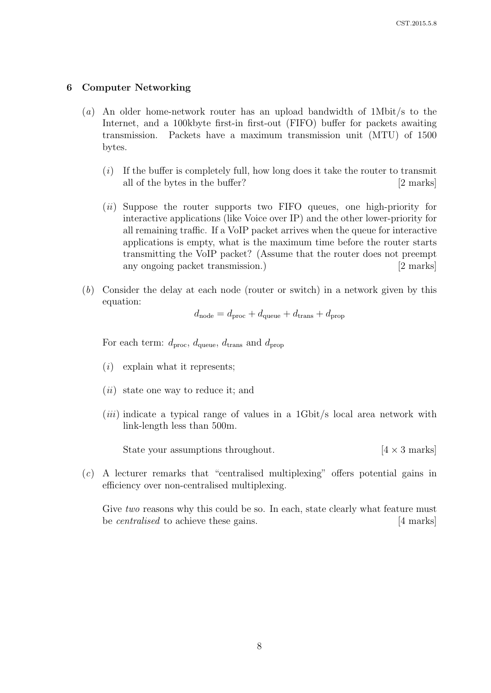#### 6 Computer Networking

- (a) An older home-network router has an upload bandwidth of 1Mbit/s to the Internet, and a 100kbyte first-in first-out (FIFO) buffer for packets awaiting transmission. Packets have a maximum transmission unit (MTU) of 1500 bytes.
	- $(i)$  If the buffer is completely full, how long does it take the router to transmit all of the bytes in the buffer? [2 marks]
	- (*ii*) Suppose the router supports two FIFO queues, one high-priority for interactive applications (like Voice over IP) and the other lower-priority for all remaining traffic. If a VoIP packet arrives when the queue for interactive applications is empty, what is the maximum time before the router starts transmitting the VoIP packet? (Assume that the router does not preempt any ongoing packet transmission.) [2 marks]
- (b) Consider the delay at each node (router or switch) in a network given by this equation:

$$
d_{\text{node}} = d_{\text{proc}} + d_{\text{queue}} + d_{\text{trans}} + d_{\text{prop}}
$$

For each term:  $d_{\text{proc}}$ ,  $d_{\text{queue}}$ ,  $d_{\text{trans}}$  and  $d_{\text{prop}}$ 

- $(i)$  explain what it represents;
- $(ii)$  state one way to reduce it; and
- (iii) indicate a typical range of values in a 1Gbit/s local area network with link-length less than 500m.

State your assumptions throughout.  $[4 \times 3 \text{ marks}]$ 

(c) A lecturer remarks that "centralised multiplexing" offers potential gains in efficiency over non-centralised multiplexing.

Give *two* reasons why this could be so. In each, state clearly what feature must be *centralised* to achieve these gains. [4 marks]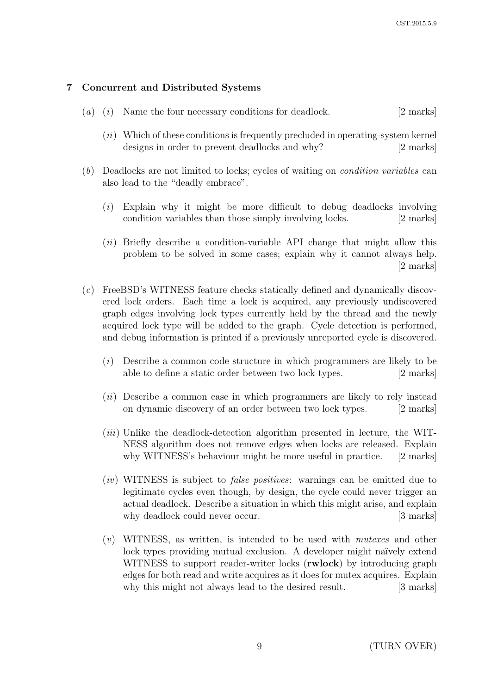# 7 Concurrent and Distributed Systems

- $(a)$   $(i)$  Name the four necessary conditions for deadlock. [2 marks]
	- $(ii)$  Which of these conditions is frequently precluded in operating-system kernel designs in order to prevent deadlocks and why? [2 marks]
- (b) Deadlocks are not limited to locks; cycles of waiting on condition variables can also lead to the "deadly embrace".
	- (i) Explain why it might be more difficult to debug deadlocks involving condition variables than those simply involving locks. [2 marks]
	- (ii) Briefly describe a condition-variable API change that might allow this problem to be solved in some cases; explain why it cannot always help. [2 marks]
- (c) FreeBSD's WITNESS feature checks statically defined and dynamically discovered lock orders. Each time a lock is acquired, any previously undiscovered graph edges involving lock types currently held by the thread and the newly acquired lock type will be added to the graph. Cycle detection is performed, and debug information is printed if a previously unreported cycle is discovered.
	- (i) Describe a common code structure in which programmers are likely to be able to define a static order between two lock types. [2 marks]
	- $(ii)$  Describe a common case in which programmers are likely to rely instead on dynamic discovery of an order between two lock types. [2 marks]
	- (*iii*) Unlike the deadlock-detection algorithm presented in lecture, the WIT-NESS algorithm does not remove edges when locks are released. Explain why WITNESS's behaviour might be more useful in practice. [2 marks]
	- (iv) WITNESS is subject to *false positives*: warnings can be emitted due to legitimate cycles even though, by design, the cycle could never trigger an actual deadlock. Describe a situation in which this might arise, and explain why deadlock could never occur. [3 marks]
	- $(v)$  WITNESS, as written, is intended to be used with *mutexes* and other lock types providing mutual exclusion. A developer might naïvely extend WITNESS to support reader-writer locks (**rwlock**) by introducing graph edges for both read and write acquires as it does for mutex acquires. Explain why this might not always lead to the desired result. [3 marks]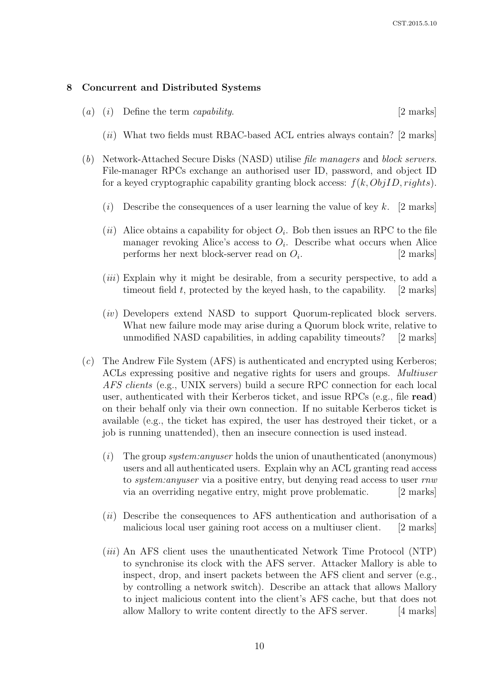#### 8 Concurrent and Distributed Systems

- (a) (i) Define the term *capability*. [2 marks]
	- $(iii)$  What two fields must RBAC-based ACL entries always contain? [2 marks]
- (b) Network-Attached Secure Disks (NASD) utilise file managers and block servers. File-manager RPCs exchange an authorised user ID, password, and object ID for a keyed cryptographic capability granting block access:  $f(k, ObjID, right s)$ .
	- (i) Describe the consequences of a user learning the value of key k. [2 marks]
	- (*ii*) Alice obtains a capability for object  $O_i$ . Bob then issues an RPC to the file manager revoking Alice's access to  $O_i$ . Describe what occurs when Alice performs her next block-server read on  $O_i$ . . [2 marks]
	- (iii) Explain why it might be desirable, from a security perspective, to add a timeout field t, protected by the keyed hash, to the capability.  $[2 \text{ marks}]$
	- (iv) Developers extend NASD to support Quorum-replicated block servers. What new failure mode may arise during a Quorum block write, relative to unmodified NASD capabilities, in adding capability timeouts? [2 marks]
- (c) The Andrew File System (AFS) is authenticated and encrypted using Kerberos; ACLs expressing positive and negative rights for users and groups. Multiuser AFS clients (e.g., UNIX servers) build a secure RPC connection for each local user, authenticated with their Kerberos ticket, and issue RPCs (e.g., file read) on their behalf only via their own connection. If no suitable Kerberos ticket is available (e.g., the ticket has expired, the user has destroyed their ticket, or a job is running unattended), then an insecure connection is used instead.
	- (i) The group system: anywer holds the union of unauthenticated (anonymous) users and all authenticated users. Explain why an ACL granting read access to *system:anyuser* via a positive entry, but denying read access to user rnw via an overriding negative entry, might prove problematic. [2 marks]
	- (*ii*) Describe the consequences to AFS authentication and authorisation of a malicious local user gaining root access on a multiuser client. [2 marks]
	- (iii) An AFS client uses the unauthenticated Network Time Protocol (NTP) to synchronise its clock with the AFS server. Attacker Mallory is able to inspect, drop, and insert packets between the AFS client and server (e.g., by controlling a network switch). Describe an attack that allows Mallory to inject malicious content into the client's AFS cache, but that does not allow Mallory to write content directly to the AFS server. [4 marks]